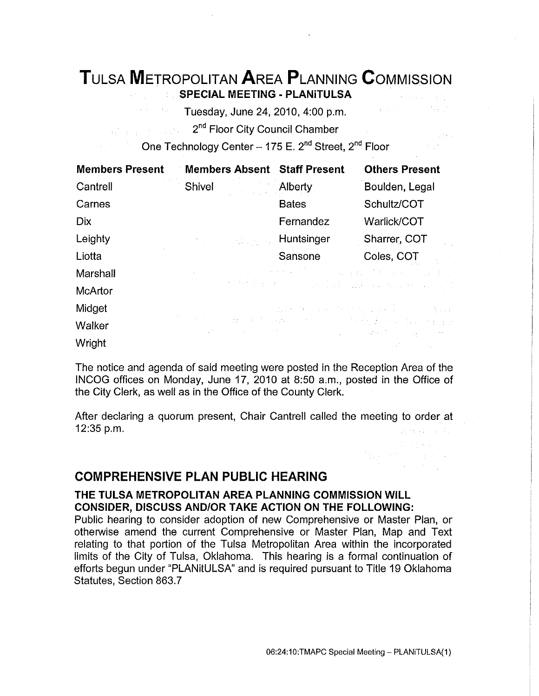# **TuLsA METROPOLITAN AREA PLANNING CoMMISSION SPECIAL MEETING - PLANiTULSA**

Tuesday, June 24, 2010, 4:00 p.m.

2<sup>nd</sup> Floor City Council Chamber 

One Technology Center - 175 E. 2<sup>nd</sup> Street, 2<sup>nd</sup> Floor

| <b>Members Present</b> | Members Absent Staff Present                          |              | <b>Others Present</b>                                                                                                                     |
|------------------------|-------------------------------------------------------|--------------|-------------------------------------------------------------------------------------------------------------------------------------------|
| Cantrell               | Shivel                                                | Alberty      | Boulden, Legal                                                                                                                            |
| Carnes                 |                                                       | <b>Bates</b> | Schultz/COT                                                                                                                               |
| <b>Dix</b>             |                                                       | Fernandez    | Warlick/COT                                                                                                                               |
| Leighty                | <b>The Committee of Committee</b>                     | Huntsinger   | Sharrer, COT                                                                                                                              |
| Liotta                 |                                                       | Sansone      | Coles, COT                                                                                                                                |
| Marshall               | $\mathcal{V}_\mathbf{a}$ , $\mathcal{V}_\mathbf{a}$ , |              | 医麻痹 网络红色红色 医心包膜 化乙基苯甲基乙基苯基                                                                                                                |
| McArtor                |                                                       |              | of the police of the same field while a company of the field                                                                              |
| Midget                 |                                                       |              | 医原子宫颈 经有限的 医中枢 医内侧 医异构体 医内侧 医无线虫属                                                                                                         |
| Walker                 |                                                       |              | <b>"我们是你用的好的运动的人的。" 医格莱氏定路检胃痛</b><br>(1) 2012年10月11日, 1995年11月11日, 1996年11月11日, 1996年11月11日, 1996年11月11日, 1997年11月11日, 1997年11月11日, 1997年 |
| Wright                 |                                                       |              | $\mathcal{O}(\mathcal{O}(\mathcal{O}(\log n)^{1/2}))$ . The set of $\mathcal{O}(\log n)^{1/2}$                                            |

The notice and agenda of said meeting were posted in the Reception Area of the INCOG offices on Monday, June 17, 2010 at 8:50a.m., posted in the Office of the City Clerk, as well as in the Office of the County Clerk.

After declaring a quorum present, Chair Cantrell called the meeting to order at 12:35 p.m.

# **COMPREHENSIVE PLAN PUBLIC HEARING**

# **THE TULSA METROPOLITAN AREA PLANNING COMMISSION WILL CONSIDER, DISCUSS AND/OR TAKE ACTION ON THE FOLLOWING:**

Public hearing to consider adoption of new Comprehensive or Master Plan, or otherwise amend the current Comprehensive or Master Plan, Map and Text relating to that portion of the Tulsa Metropolitan Area within the incorporated limits of the City of Tulsa, Oklahoma. This hearing is a formal continuation of efforts begun under "PLANitULSA" and is required pursuant to Title 19 Oklahoma Statutes, Section 863.7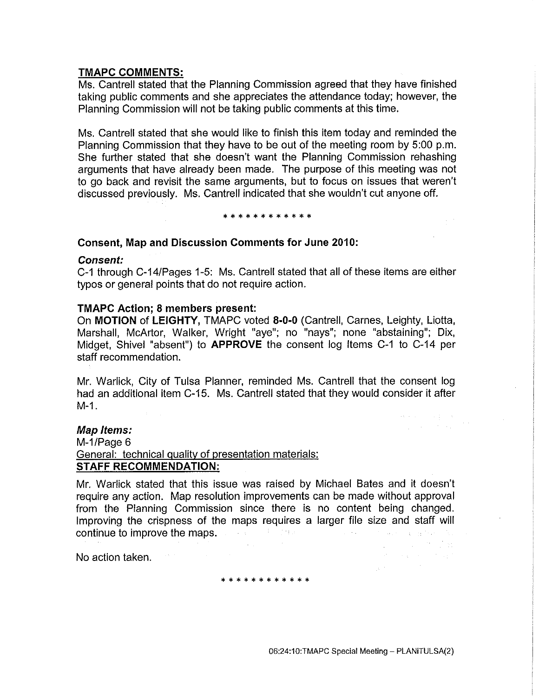# **TMAPC COMMENTS:**

Ms. Cantrell stated that the Planning Commission agreed that they have finished taking public comments and she appreciates the attendance today; however, the Planning Commission will not be taking public comments at this time.

Ms. Cantrell stated that she would like to finish this item today and reminded the Planning Commission that they have to be out of the meeting room by 5:00 p.m. She further stated that she doesn't want the Planning Commission rehashing arguments that have already been made. The purpose of this meeting was not to go back and revisit the same arguments, but to focus on issues that weren't discussed previously. Ms. Cantrell indicated that she wouldn't cut anyone off.

#### \* \* \* \* \* \* \* \* \* \* \*

#### **Consent, Map and Discussion Comments for June 2010:**

#### **Consent:**

C-1 through C-14/Pages 1-5: Ms. Cantrell stated that all of these items are either typos or general points that do not require action.

#### **TMAPC Action; 8 members present:**

On **MOTION of LEIGHTY,** TMAPC voted **8-0-0** (Cantrell, Carnes, Leighty, Liotta, Marshall, McArtor, Walker, Wright "aye"; no "nays"; none "abstaining"; Dix, Midget, Shive! "absent") to **APPROVE** the consent log Items C-1 to C-14 per staff recommendation.

Mr. Warlick, City of Tulsa Planner, reminded Ms. Cantrell that the consent log had an additional item C-15. Ms. Cantrell stated that they would consider it after M-1.

# **Map Items:**

M-1/Page 6 General: technical quality of presentation materials: **STAFF RECOMMENDATION:** 

Mr. Warlick stated that this issue was raised by Michael Bates and it doesn't require any action. Map resolution improvements can be made without approval from the Planning Commission since there is no content being changed. Improving the crispness of the maps requires a larger file size and staff will continue to improve the maps. The continue of the maps of the continue of the continue of the continue of the continue of the continue of the continue of the continue of the continue of the continue of the continue of the

No action taken.

\* \* \* \* \* \* \* \* \* \* \*

 $\{x_{i},x_{j},x_{j}\}$  ,  $\{x_{i},x_{j}\}$  ,  $\{x_{i}\}$  , tar e sa Estado<br>Alexandro de Marco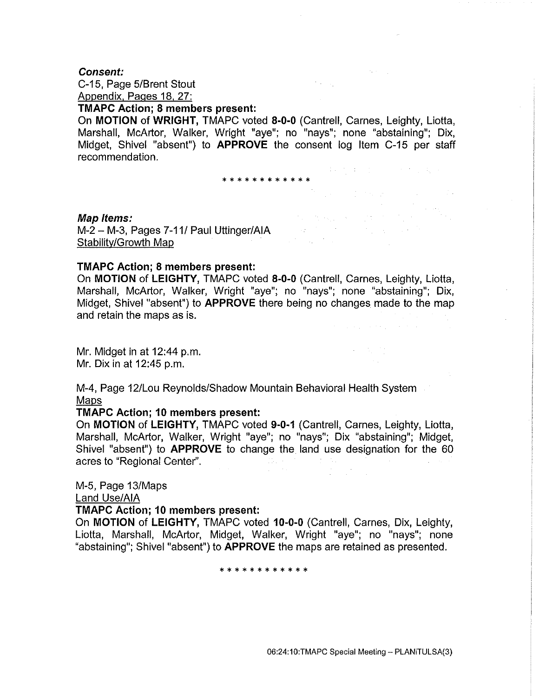#### **Consent:**

C-15, Page 5/Brent Stout Appendix, Pages 18, 27:

# **TMAPC Action; 8 members present:**

On **MOTION of WRIGHT,** TMAPC voted **8-0-0** (Cantrell, Carnes, Leighty, Liotta, Marshall, McArtor, Walker, Wright "aye"; no "nays"; none "abstaining"; Dix, Midget, Shive! "absent") to **APPROVE** the consent log Item C-15 per staff recommendation.

 $\mathcal{O}(\log n_{\rm max})$ 

**(本) 中国 (1) 中国 (1) 中国 (1)** 

 $\mathcal{A}$  and  $\mathcal{A}$  are the set of the set of the set of the set of  $\mathcal{A}$ 

 $\label{eq:1} \mathcal{I}_{\mathcal{A}}=\mathcal{I}_{\mathcal{A}}\left(\mathbf{y}_{1},\ldots,\mathbf{y}_{n}\right) \in \mathcal{I}_{\mathcal{A}}\left(\mathcal{I}_{\mathcal{A}}\right) \times \mathcal{I}_{\mathcal{A}}\left(\mathcal{I}_{\mathcal{A}}\right)$ a na matalika na kampania.<br>Matalika na m

\* \* \* \* \* \* \* \* \* \* \* \*

#### **Map/terns:**

M-2 – M-3, Pages 7-11/ Paul Uttinger/AIA<br>Stabilitv/Growth Man Stabilitv/Growth Map

#### **TMAPC Action; 8 members present:**

On **MOTION of LEIGHTY,** TMAPC voted **8-0-0** (Cantrell, Carnes, Leighty, Liotta, Marshall, McArtor, Walker, Wright "aye"; no "nays"; none "abstaining"; Dix, Midget, Shivel "absent") to **APPROVE** there being no changes made to the map and retain the maps as is.

Mr. Midget in at 12:44 p.m. Mr. Dix in at 12:45 p.m.

M-4, Page 12/Lou Reynolds/Shadow Mountain Behavioral Health System Maps

#### **TMAPC Action; 10 members present:**

On **MOTION of LEIGHTY,** TMAPC voted **9-0·1** (Cantrell, Carnes, Leighty, Liotta, Marshall, McArtor, Walker, Wright "aye"; no "nays"; Dix "abstaining"; Midget, Shivel "absent") to **APPROVE** to change the land use designation for the 60 acres to "Regional Center".

#### M-5, Page 13/Maps

Land Use/AlA

#### **TMAPC Action; 10 members present:**

On **MOTION of LEIGHTY,** TMAPC voted **10·0·0** (Cantrell, Carnes, Dix, Leighty, Liotta, Marshall, McArtor, Midget, Walker, Wright "aye"; no "nays"; none "abstaining"; Shivel "absent") to **APPROVE** the maps are retained as presented.

\* \* \* \* \* \* \* \* \* \* \* \*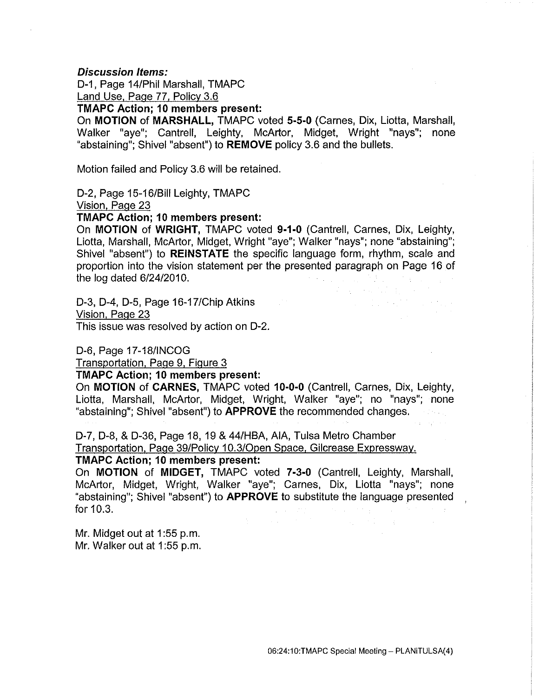#### **Discussion Items:**

D-1, Page 14/Phil Marshall, TMAPC Land Use. Page 77, Policy 3.6

**TMAPC Action; 10 members present:** 

On **MOTION of MARSHALL,** TMAPC voted **5-5-0** (Carnes, Dix, Liotta, Marshall, Walker "aye"; Cantrell, Leighty, McArtor, Midget, Wright "nays"; none "abstaining"; Shive! "absent") to **REMOVE** policy 3.6 and the bullets.

Motion failed and Policy 3.6 will be retained.

D-2, Page 15-16/Bill Leighty, TMAPC

Vision. Page 23

**TMAPC Action; 10 members present:** 

On **MOTION of WRIGHT,** TMAPC voted **9-1-0** (Cantrell, Carnes, Dix, Leighty, Liotta, Marshall, McArtor, Midget, Wright "aye"; Walker "nays"; none "abstaining"; Shive! "absent") to **REINSTATE** the specific language form, rhythm, scale and proportion into the vision statement per the presented paragraph on Page 16 of the log dated 6/24/2010.

D-3, D-4, D-5, Page 16-17/Chip Atkins Vision, Page 23

This issue was resolved by action on D-2.

D-6, Page 17-18/INCOG

Transportation. Page 9, Figure 3

**TMAPC Action; 10 members present:** 

On **MOTION of CARNES,** TMAPC voted **10-0-0** (Cantrell, Carnes, Dix, Leighty, Liotta, Marshall, McArtor, Midget, Wright, Walker "aye"; no "nays"; none "abstaining"; Shive! "absent") to **APPROVE** the recommended changes.

D-7, D-8, & D-36, Page 18, 19 & 44/HBA, AlA, Tulsa Metro Chamber Transportation. Page 39/Policy 10.3/0pen Space. Gilcrease Expressway.

# **TMAPC Action; 10 members present:**

On **MOTION of MIDGET,** TMAPC voted **7-3-0** (Cantrell, Leighty, Marshall, McArtor, Midget, Wright, Walker "aye"; Carnes, Dix, Liotta "nays"; none "abstaining"; Shive! "absent") to **APPROVE** to substitute the language presented for 10.3.

Mr. Midget out at 1:55 p.m. Mr. Walker out at 1 :55 p.m. 经国际经济的 医心脏

 $\label{eq:2} \mathcal{L}_{\text{max}} = \frac{1}{2} \frac{1}{\sqrt{2}} \left( \frac{1}{2} \frac{1}{\sqrt{2}} \frac{1}{\sqrt{2}} \right) \left( \frac{1}{2} \frac{1}{\sqrt{2}} \frac{1}{\sqrt{2}} \right) \left( \frac{1}{2} \frac{1}{\sqrt{2}} \frac{1}{\sqrt{2}} \right) \left( \frac{1}{2} \frac{1}{\sqrt{2}} \frac{1}{\sqrt{2}} \right) \left( \frac{1}{2} \frac{1}{\sqrt{2}} \frac{1}{\sqrt{2}} \right) \left( \frac{1}{2} \frac{1}{\sqrt{2$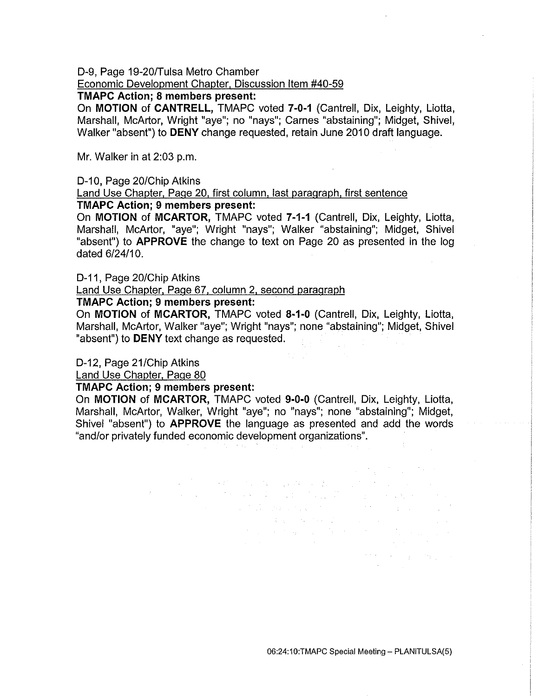D-9, Page 19-20/Tulsa Metro Chamber

# Economic Development Chapter. Discussion Item #40-59

#### **TMAPC Action; 8 members present:**

On **MOTION of CANTRELL,** TMAPC voted **7-0-1** (Cantrell, Dix, Leighty, Liotta, Marshall, McArtor, Wright "aye"; no "nays"; Carnes "abstaining"; Midget, Shive!, Walker "absent") to **DENY** change requested, retain June 2010 draft language.

Mr. Walker in at 2:03 p.m.

#### D-10, Page 20/Chip Atkins

#### Land Use Chapter. Page 20. first column. last paragraph, first sentence **TMAPC Action; 9 members present:**

On **MOTION of MCARTOR,** TMAPC voted **7-1-1** (Cantrell, Dix, Leighty, Liotta, Marshall, McArtor, "aye"; Wright "nays"; Walker "abstaining"; Midget, Shive! "absent") to **APPROVE** the change to text on Page 20 as presented in the log dated 6/24/10.

D-11, Page 20/Chip Atkins

#### Land Use Chapter. Page 67, column 2, second paragraph

# **TMAPC Action; 9 members present:**

On **MOTION of MCARTOR,** TMAPC voted **8-1-0** (Cantrell, Dix, Leighty, Liotta, Marshall, McArtor, Walker "aye"; Wright "nays"; none "abstaining"; Midget, Shive! "absent") to **DENY** text change as requested.

#### D-12, Page 21/Chip Atkins

Land Use Chapter, Page 80

#### **TMAPC Action; 9 members present:**

On **MOTION of MCARTOR,** TMAPC voted **9-0-0** (Cantrell, Dix, Leighty, Liotta, Marshall, McArtor, Walker, Wright "aye"; no "nays"; none "abstaining"; Midget, Shive! "absent") to **APPROVE** the language as presented and add the words "and/or privately funded economic development organizations".

 $\Delta \phi$  and  $\Delta \phi$  is a set of  $\phi$  . The set of  $\phi$  is a set of  $\phi$ 

 $\mathcal{L}^{\mathcal{L}}$  and  $\mathcal{L}^{\mathcal{L}}$  are the state of the state of the state  $\mathcal{L}^{\mathcal{L}}$ 

 $\mathcal{F}(\mathcal{A})$  is a strong sign of the state of the strong state

 $\label{eq:2.1} \mathcal{L}(\mathcal{A}_{\mathcal{A}}) = \mathcal{L}(\mathcal{A}_{\mathcal{A}}) = \mathcal{L}(\mathcal{A}_{\mathcal{A}})$ State Concert Party of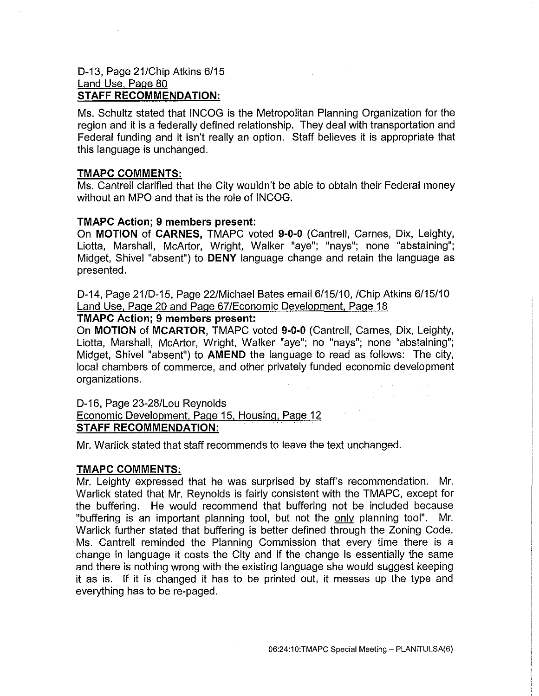# D-13, Page 21/Chip Atkins 6/15 Land Use, Page 80 **STAFF RECOMMENDATION:**

Ms. Schultz stated that INCOG is the Metropolitan Planning Organization for the region and it is a federally defined relationship. They deal with transportation and Federal funding and it isn't really an option. Staff believes it is appropriate that this language is unchanged.

# **TMAPC COMMENTS:**

Ms. Cantrell clarified that the City wouldn't be able to obtain their Federal money without an MPO and that is the role of INCOG.

#### **TMAPC Action; 9 members present:**

On **MOTION of CARNES,** TMAPC voted **9-0-0** (Cantrell, Carnes, Dix, Leighty, Liotta, Marshall, McArtor, Wright, Walker "aye"; "nays"; none "abstaining"; Midget, Shivel "absent") to **DENY** language change and retain the language as presented.

D-14, Page 21/D-15, Page 22/Michael Bates email 6/15/10, /Chip Atkins 6/15/10 Land Use. Page 20 and Page 67/Economic Development. Page 18

# **TMAPC Action; 9 members present:**

On **MOTION of MCARTOR,** TMAPC voted **9-0·0** (Cantrell, Carnes, Dix, Leighty, Liotta, Marshall, McArtor, Wright, Walker "aye"; no "nays"; none "abstaining"; Midget, Shivel "absent") to **AMEND** the language to read as follows: The city, local chambers of commerce, and other privately funded economic development organizations.

D-16, Page 23-28/Lou Reynolds Economic Development. Page 15, Housing. Page 12 **STAFF RECOMMENDATION:** 

Mr. Warlick stated that staff recommends to leave the text unchanged.

# **TMAPC COMMENTS:**

Mr. Leighty expressed that he was surprised by staff's recommendation. Mr. Warlick stated that Mr. Reynolds is fairly consistent with the TMAPC, except for the buffering. He would recommend that buffering not be included because "buffering is an important planning tool, but not the only planning tool". Mr. Warlick further stated that buffering is better defined through the Zoning Code. Ms. Cantrell reminded the Planning Commission that every time there is a change in language it costs the City and if the change is essentially the same and there is nothing wrong with the existing language she would suggest keeping it as is. If it is changed it has to be printed out, it messes up the type and everything has to be re-paged.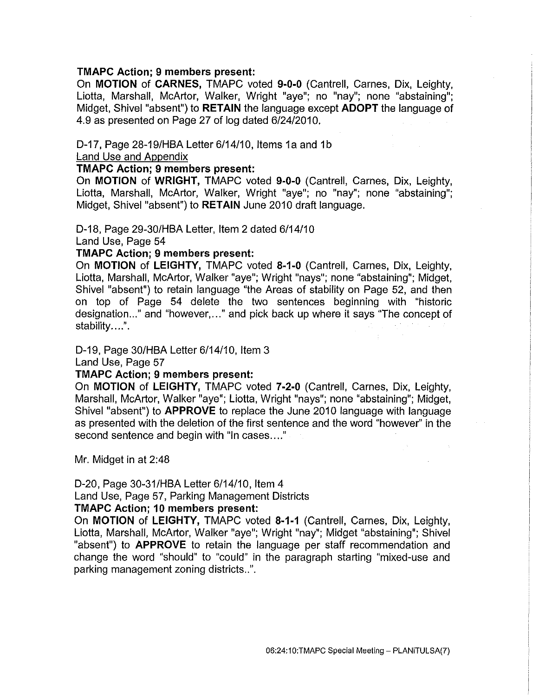# **TMAPC Action; 9 members present:**

On **MOTION of CARNES,** TMAPC voted **9-0-0** (Cantrell, Carnes, Dix, Leighty, Liotta, Marshall, McArtor, Walker, Wright "aye"; no "nay"; none "abstaining"; Midget, Shivel "absent") to **RETAIN** the language except **ADOPT** the language of 4.9 as presented on Page 27 of log dated 6/24/2010.

# D-17, Page 28-19/HBA Letter 6/14/10, Items 1a and 1b

Land Use and Appendix

# **TMAPC Action; 9 members present:**

On **MOTION of WRIGHT,** TMAPC voted **9-0-0** (Cantrell, Carnes, Dix, Leighty, Liotta, Marshall, McArtor, Walker, Wright "aye"; no "nay"; none "abstaining"; Midget, Shivel "absent") to **RETAIN** June 2010 draft language.

D-18, Page 29-30/HBA Letter, Item 2 dated 6/14/10

Land Use, Page 54

**TMAPC Action; 9 members present:** 

On **MOTION of LEIGHTY,** TMAPC voted **8-1-0** (Cantrell, Carnes, Dix, Leighty, Liotta, Marshall, McArtor, Walker "aye"; Wright "nays"; none "abstaining"; Midget, Shivel "absent") to retain language "the Areas of stability on Page 52, and then on top of Page 54 delete the two sentences beginning with "historic designation ... " and "however, ... " and pick back up where it says "The concept of stability....".

D-19, Page 30/HBA Letter 6/14/10, Item 3

Land Use, Page 57

# **TMAPC Action; 9 members present:**

On **MOTION of LEIGHTY,** TMAPC voted **7-2-0** (Cantrell, Carnes, Dix, Leighty, Marshall, McArtor, Walker "aye"; Liotta, Wright "nays"; none "abstaining"; Midget, Shivel "absent") to **APPROVE** to replace the June 2010 language with language as presented with the deletion of the first sentence and the word "however" in the second sentence and begin with "In cases...."

Mr. Midget in at 2:48

D-20, Page 30-31/HBA Letter 6/14/10, Item 4

Land Use, Page 57, Parking Management Districts

#### **TMAPC Action; 10 members present:**

On **MOTION of LEIGHTY,** TMAPC voted **8-1-1** (Cantrell, Carnes, Dix, Leighty, Liotta, Marshall, McArtor, Walker "aye"; Wright "nay"; Midget "abstaining"; Shivel "absent") to **APPROVE** to retain the language per staff recommendation and change the word "should" to "could" in the paragraph starting "mixed-use and parking management zoning districts..".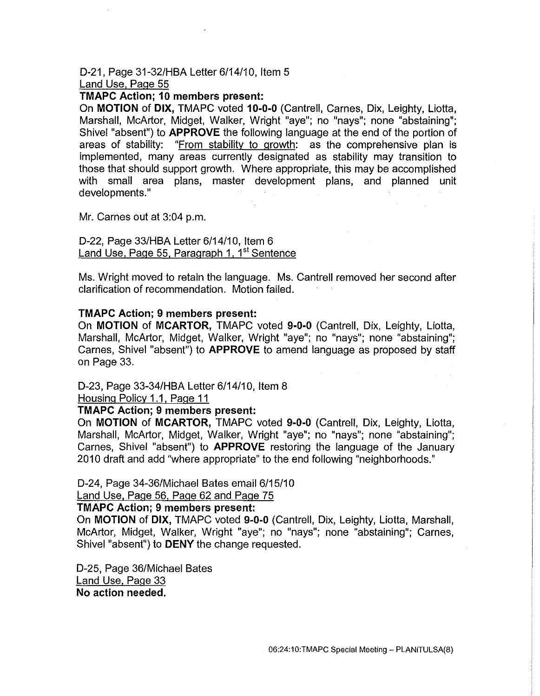#### D-21, Page 31-32/HBA Letter 6/14/10, Item 5 Land Use, Page 55

# **TMAPC Action; 10 members present:**

On **MOTION of DIX,** TMAPC voted **10-0-0** (Cantrell, Carnes, Dix, Leighty, Liotta, Marshall, McArtor, Midget, Walker, Wright "aye"; no "nays"; none "abstaining"; Shive! "absent") to **APPROVE** the following language at the end of the portion of areas of stability: "From stability to growth: as the comprehensive plan is implemented, many areas currently designated as stability may transition to those that should support growth. Where appropriate, this may be accomplished with small area plans, master development plans, and planned unit developments."

Mr. Carnes out at 3:04 p.m.

D-22, Page 33/HBA Letter 6/14/10, Item 6 Land Use, Page 55, Paragraph 1, 1<sup>st</sup> Sentence

Ms. Wright moved to retain the language. Ms. Cantrell removed her second after clarification of recommendation. Motion failed.

#### **TMAPC Action; 9 members present:**

On **MOTION of MCARTOR,** TMAPC voted **9-0-0** (Cantrell, Dix, Leighty, Liotta, Marshall, McArtor, Midget, Walker, Wright "aye"; no "nays"; none "abstaining"; Carnes, Shive! "absent") to **APPROVE** to amend language as proposed by staff on Page 33.

#### D-23, Page 33-34/HBA Letter 6/14/10, Item 8

Housing Policy 1.1, Page 11

# **TMAPC Action; 9 members present:**

On **MOTION of MCARTOR,** TMAPC voted **9-0-0** (Cantrell, Dix, Leighty, Liotta, Marshall, McArtor, Midget, Walker, Wright "aye"; no "nays"; none "abstaining"; Carnes, Shive! "absent") to **APPROVE** restoring the language of the January 2010 draft and add "where appropriate" to the end following "neighborhoods."

D-24, Page 34-36/Michael Bates email 6/15/10

Land Use, Page 56, Page 62 and Page 75

#### **TMAPC Action; 9 members present:**

On **MOTION of DIX,** TMAPC voted **9-0-0** (Cantrell, Dix, Leighty, Liotta, Marshall, McArtor, Midget, Walker, Wright "aye"; no "nays"; none "abstaining"; Carnes, Shive! "absent") to **DENY** the change requested.

D-25, Page 36/Michael Bates Land Use. Page 33 **No action needed.**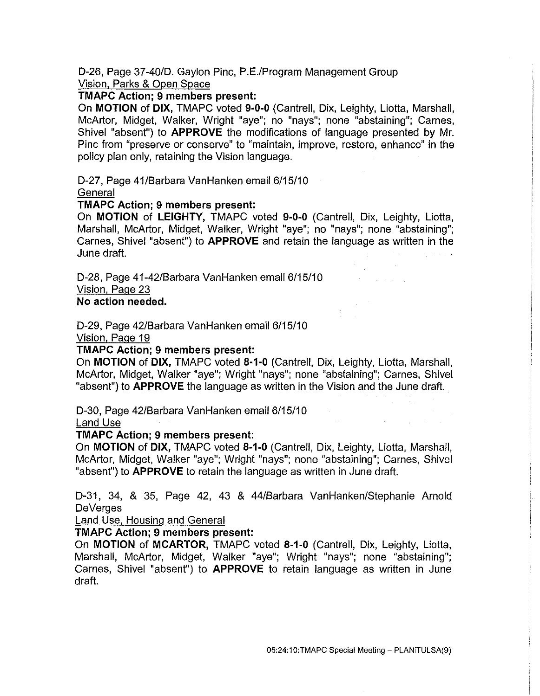D-26, Page 37-40/D. Gaylon Pine, P.E./Program Management Group Vision. Parks & Open Space

# **TMAPC Action; 9 members present:**

On **MOTION of DIX,** TMAPC voted **9·0-0** (Cantrell, Dix, Leighty, Liotta, Marshall, McArtor, Midget, Walker, Wright "aye"; no "nays"; none "abstaining"; Carnes, Shive! "absent") to **APPROVE** the modifications of language presented by Mr. Pine from "preserve or conserve" to "maintain, improve, restore, enhance" in the policy plan only, retaining the Vision language.

D-27, Page 41/Barbara VanHanken email 6/15/10

**General** 

# **TMAPC Action; 9 members present:**

On **MOTION of LEIGHTY,** TMAPC voted **9·0-0** (Cantrell, Dix, Leighty, Liotta, Marshall, McArtor, Midget, Walker, Wright "aye"; no "nays"; none "abstaining"; Carnes, Shive! "absent") to **APPROVE** and retain the language as written in the June draft.

D-28, Page 41-42/Barbara VanHanken email 6/15/10 Vision. Page 23

# **No action needed.**

D-29, Page 42/Barbara VanHanken email 6/15/10

Vision, Page 19

# **TMAPC Action; 9 members present:**

On **MOTION of DIX,** TMAPC voted **8·1·0** (Cantrell, Dix, Leighty, Liotta, Marshall, McArtor, Midget, Walker "aye"; Wright "nays"; none "abstaining"; Carnes, Shive! "absent") to **APPROVE** the language as written in the Vision and the June draft.

D-30, Page 42/Barbara VanHanken email 6/15/10

# Land Use

# **TMAPC Action; 9 members present:**

On **MOTION of DIX,** TMAPC voted **8·1·0** (Cantrell, Dix, Leighty, Liotta, Marshall, McArtor, Midget, Walker "aye"; Wright "nays"; none "abstaining"; Carnes, Shive! "absent") to **APPROVE** to retain the language as written in June draft.

D-31, 34, & 35, Page 42, 43 & 44/Barbara VanHanken/Stephanie Arnold De Verges

Land Use. Housing and General

# **TMAPC Action; 9 members present:**

On **MOTION of MCARTOR,** TMAPC voted **8-1-0** (Cantrell, Dix, Leighty, Liotta, Marshall, McArtor, Midget, Walker "aye"; Wright "nays"; none "abstaining"; Carnes, Shive! "absent") to **APPROVE** to retain language as written in June draft.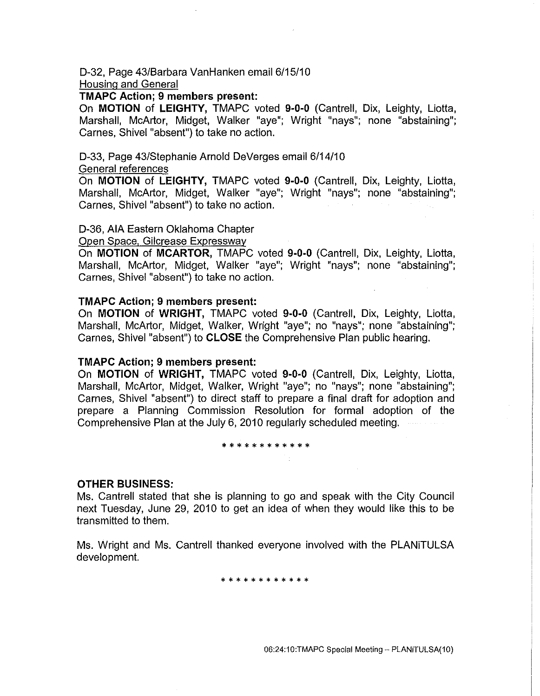D-32, Page 43/Barbara VanHanken email 6/15/10

Housing and General

#### **TMAPC Action; 9 members present:**

On **MOTION of LEIGHTY,** TMAPC voted **9·0·0** (Cantrell, Dix, Leighty, Liotta, Marshall, McArtor, Midget, Walker "aye"; Wright "nays"; none "abstaining"; Carnes, Shivel "absent") to take no action.

# D-33, Page 43/Stephanie Arnold De Verges email 6/14/10

#### General references

On **MOTION of LEIGHTY,** TMAPC voted **9-0-0** (Cantrell, Dix, Leighty, Liotta, Marshall, McArtor, Midget, Walker "aye"; Wright "nays"; none "abstaining"; Carnes, Shivel "absent") to take no action.

# D-36, AlA Eastern Oklahoma Chapter

#### Open Space, Gilcrease Expressway

On **MOTION of MCARTOR,** TMAPC voted **9-0-0** (Cantrell, Dix, Leighty, Liotta, Marshall, McArtor, Midget, Walker "aye"; Wright "nays"; none "abstaining"; Carnes, Shivel "absent") to take no action.

# **TMAPC Action; 9 members present:**

On **MOTION of WRIGHT,** TMAPC voted **9-0-0** (Cantrell, Dix, Leighty, Liotta, Marshall, McArtor, Midget, Walker, Wright "aye"; no "nays"; none "abstaining"; Carnes, Shivel "absent") to **CLOSE** the Comprehensive Plan public hearing.

# **TMAPC Action; 9 members present:**

On **MOTION of WRIGHT,** TMAPC voted **9·0·0** (Cantrell, Dix, Leighty, Liotta, Marshall, McArtor, Midget, Walker, Wright "aye"; no "nays"; none "abstaining"; Carnes, Shivel "absent") to direct staff to prepare a final draft for adoption and prepare a Planning Commission Resolution for formal adoption of the Comprehensive Plan at the July 6, 2010 regularly scheduled meeting.

#### \* \* \* \* \* \* \* \* \* \* \* \*

# **OTHER BUSINESS:**

Ms. Cantrell stated that she is planning to go and speak with the City Council next Tuesday, June 29, 2010 to get an idea of when they would like this to be transmitted to them.

Ms. Wright and Ms. Cantrell thanked everyone involved with the PLANiTULSA development.

\*\*\*\*\*\*\*\*\*\*\*\*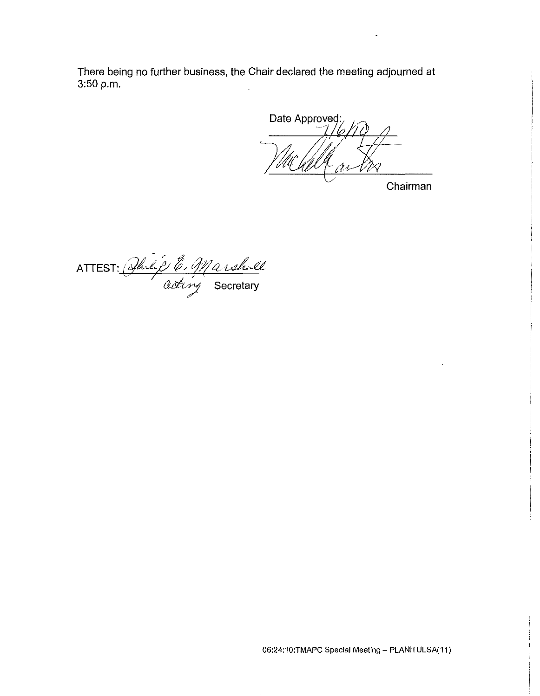There being no further business, the Chair declared the meeting adjourned at 3:50 p.m.

Date Approved:

Chairman

ATTEST: *Anlif E. Marshall* 

06:24:10:TMAPC Special Meeting- PLANiTULSA(11)